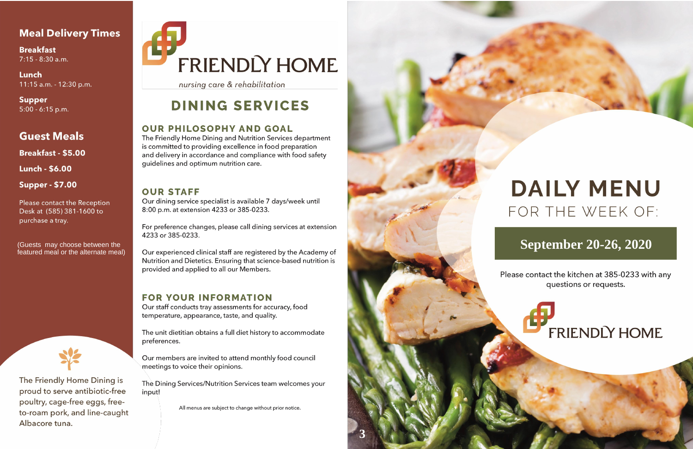# **Meal Delivery Times**

**Breakfast** 7:15 - 8:30 a.m.

Lunch 11:15 a.m. - 12:30 p.m.

**Supper**  $5:00 - 6:15$  p.m.

# **Guest Meals**

**Breakfast - \$5.00** 

**Lunch - \$6.00** 

**Supper - \$7.00** 

Please contact the Reception Desk at (585) 381-1600 to purchase a tray.

(Guests may choose between the featured meal or the alternate meal)



The Friendly Home Dining is proud to serve antibiotic-free poultry, cage-free eggs, freeto-roam pork, and line-caught Albacore tuna.

# **FRIENDLY HOME**

nursing care & rehabilitation

# **DINING SERVICES**

# **OUR PHILOSOPHY AND GOAL**

The Friendly Home Dining and Nutrition Services department is committed to providing excellence in food preparation and delivery in accordance and compliance with food safety guidelines and optimum nutrition care.

# **OUR STAFF**

Our dining service specialist is available 7 days/week until 8:00 p.m. at extension 4233 or 385-0233.

For preference changes, please call dining services at extension 4233 or 385-0233.

Our experienced clinical staff are registered by the Academy of Nutrition and Dietetics. Ensuring that science-based nutrition is provided and applied to all our Members.

# **FOR YOUR INFORMATION**

Our staff conducts tray assessments for accuracy, food temperature, appearance, taste, and quality.

The unit dietitian obtains a full diet history to accommodate preferences.

Our members are invited to attend monthly food council meetings to voice their opinions.

The Dining Services/Nutrition Services team welcomes your input!

All menus are subject to change without prior notice.



# **DAILY MENU** FOR THE WEEK OF:

# **September 20-26, 2020**

Please contact the kitchen at 385-0233 with any questions or requests.

**FRIENDLY HOME**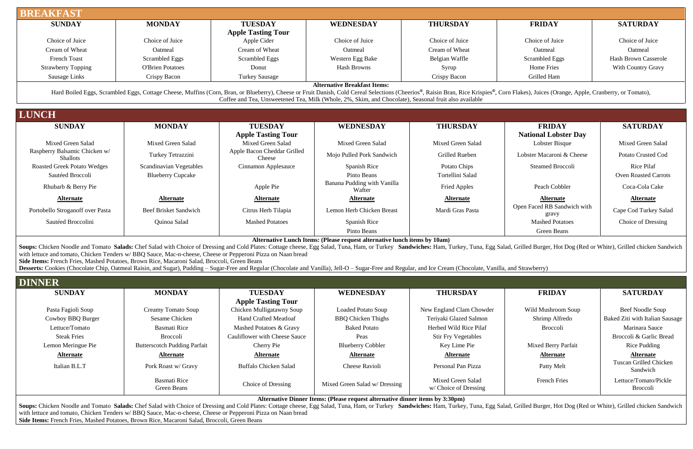Cape Cod Turkey Salad

, Grilled Burger, Hot Dog (Red or White), Grilled chicken Sandwich

Soups: Chicken Noodle and Tomato Salads: Chef Salad with Choice of Dressing and Cold Plates: Cottage cheese, Egg Salad, Tuna, Ham, or Turkey Sandwiches: Ham, Turkey, Tuna, Egg Salad, Grilled Burger, Hot Dog (Red or White), with lettuce and tomato, Chicken Tenders w/ BBQ Sauce, Mac-n-cheese, Cheese or Pepperoni Pizza on Naan bread **Side Items:** French Fries, Mashed Potatoes, Brown Rice, Macaroni Salad, Broccoli, Green Beans

### **WEDNESDAY THURSDAY FRIDAY SATURDAY**

Cowboy BBQ Burger Sesame Chicken | Hand Crafted Meatloaf BBQ Chicken Thighs | Teriyaki Glazed Salmon | Shrimp Alfredo | Baked Ziti with Italian Sausage

| <b>BREAKFAST</b>                                                                                                                                                                                                                                                                                                                                                                                                                                                                                                                                                                                                                                               |                                |                                                                                                                                                                                                                               |                                                                                                                                              |                          |                                               |                             |
|----------------------------------------------------------------------------------------------------------------------------------------------------------------------------------------------------------------------------------------------------------------------------------------------------------------------------------------------------------------------------------------------------------------------------------------------------------------------------------------------------------------------------------------------------------------------------------------------------------------------------------------------------------------|--------------------------------|-------------------------------------------------------------------------------------------------------------------------------------------------------------------------------------------------------------------------------|----------------------------------------------------------------------------------------------------------------------------------------------|--------------------------|-----------------------------------------------|-----------------------------|
| <b>SUNDAY</b>                                                                                                                                                                                                                                                                                                                                                                                                                                                                                                                                                                                                                                                  | <b>MONDAY</b>                  | <b>TUESDAY</b>                                                                                                                                                                                                                | WEDNESDAY                                                                                                                                    | <b>THURSDAY</b>          | <b>FRIDAY</b>                                 | <b>SATURDAY</b>             |
|                                                                                                                                                                                                                                                                                                                                                                                                                                                                                                                                                                                                                                                                |                                | <b>Apple Tasting Tour</b>                                                                                                                                                                                                     |                                                                                                                                              |                          |                                               |                             |
| Choice of Juice                                                                                                                                                                                                                                                                                                                                                                                                                                                                                                                                                                                                                                                | Choice of Juice                | Apple Cider                                                                                                                                                                                                                   | Choice of Juice                                                                                                                              | Choice of Juice          | Choice of Juice                               | Choice of Juice             |
| Cream of Wheat                                                                                                                                                                                                                                                                                                                                                                                                                                                                                                                                                                                                                                                 | Oatmeal                        | Cream of Wheat                                                                                                                                                                                                                | Oatmeal                                                                                                                                      | Cream of Wheat           | Oatmeal                                       | Oatmeal                     |
| <b>French Toast</b>                                                                                                                                                                                                                                                                                                                                                                                                                                                                                                                                                                                                                                            | <b>Scrambled Eggs</b>          | Scrambled Eggs                                                                                                                                                                                                                | Western Egg Bake                                                                                                                             | Belgian Waffle           | <b>Scrambled Eggs</b>                         | <b>Hash Brown Casserole</b> |
| <b>Strawberry Topping</b>                                                                                                                                                                                                                                                                                                                                                                                                                                                                                                                                                                                                                                      | <b>O'Brien Potatoes</b>        | Donut                                                                                                                                                                                                                         | <b>Hash Browns</b>                                                                                                                           | Syrup                    | <b>Home Fries</b>                             | <b>With Country Gravy</b>   |
| Sausage Links                                                                                                                                                                                                                                                                                                                                                                                                                                                                                                                                                                                                                                                  | Crispy Bacon                   | <b>Turkey Sausage</b>                                                                                                                                                                                                         |                                                                                                                                              | Crispy Bacon             | Grilled Ham                                   |                             |
| <b>LUNCH</b>                                                                                                                                                                                                                                                                                                                                                                                                                                                                                                                                                                                                                                                   |                                | Hard Boiled Eggs, Scrambled Eggs, Cottage Cheese, Muffins (Corn, Bran, or Blueberry), Cheese or Fruit Danish, Cold Cereal Selections (Cheerios®, Raisin Bran, Rice Krispies®, Corn Flakes), Juices (Orange, Apple, Cranberry, | <b>Alternative Breakfast Items:</b><br>Coffee and Tea, Unsweetened Tea, Milk (Whole, 2%, Skim, and Chocolate), Seasonal fruit also available |                          |                                               |                             |
|                                                                                                                                                                                                                                                                                                                                                                                                                                                                                                                                                                                                                                                                |                                |                                                                                                                                                                                                                               |                                                                                                                                              |                          |                                               |                             |
| <b>SUNDAY</b>                                                                                                                                                                                                                                                                                                                                                                                                                                                                                                                                                                                                                                                  | <b>MONDAY</b>                  | <b>TUESDAY</b>                                                                                                                                                                                                                | <b>WEDNESDAY</b>                                                                                                                             | <b>THURSDAY</b>          | <b>FRIDAY</b>                                 | <b>SATURDAY</b>             |
| Mixed Green Salad                                                                                                                                                                                                                                                                                                                                                                                                                                                                                                                                                                                                                                              | Mixed Green Salad              | <b>Apple Tasting Tour</b><br>Mixed Green Salad                                                                                                                                                                                | Mixed Green Salad                                                                                                                            | Mixed Green Salad        | <b>National Lobster Day</b><br>Lobster Bisque | Mixed Green Salad           |
| Raspberry Balsamic Chicken w/<br><b>Shallots</b>                                                                                                                                                                                                                                                                                                                                                                                                                                                                                                                                                                                                               | Turkey Tetrazzini              | Apple Bacon Cheddar Grilled<br>Cheese                                                                                                                                                                                         | Mojo Pulled Pork Sandwich                                                                                                                    | Grilled Rueben           | Lobster Macaroni & Cheese                     | Potato Crusted Cod          |
| <b>Roasted Greek Potato Wedges</b>                                                                                                                                                                                                                                                                                                                                                                                                                                                                                                                                                                                                                             | <b>Scandinavian Vegetables</b> | Cinnamon Applesauce                                                                                                                                                                                                           | Spanish Rice                                                                                                                                 | Potato Chips             | <b>Steamed Broccoli</b>                       | Rice Pilaf                  |
| Sautéed Broccoli                                                                                                                                                                                                                                                                                                                                                                                                                                                                                                                                                                                                                                               | <b>Blueberry Cupcake</b>       |                                                                                                                                                                                                                               | Pinto Beans                                                                                                                                  | Tortellini Salad         |                                               | <b>Oven Roasted Carrots</b> |
| Rhubarb & Berry Pie                                                                                                                                                                                                                                                                                                                                                                                                                                                                                                                                                                                                                                            |                                | Apple Pie                                                                                                                                                                                                                     | Banana Pudding with Vanilla<br>Wafter                                                                                                        | <b>Fried Apples</b>      | Peach Cobbler                                 | Coca-Cola Cake              |
| <b>Alternate</b>                                                                                                                                                                                                                                                                                                                                                                                                                                                                                                                                                                                                                                               | <b>Alternate</b>               | <b>Alternate</b>                                                                                                                                                                                                              | <b>Alternate</b>                                                                                                                             | <b>Alternate</b>         | <b>Alternate</b>                              | <b>Alternate</b>            |
| Portobello Stroganoff over Pasta                                                                                                                                                                                                                                                                                                                                                                                                                                                                                                                                                                                                                               | <b>Beef Brisket Sandwich</b>   | Citrus Herb Tilapia                                                                                                                                                                                                           | Lemon Herb Chicken Breast                                                                                                                    | Mardi Gras Pasta         | Open Faced RB Sandwich with<br>gravy          | Cape Cod Turkey Sala        |
| Sautéed Broccolini                                                                                                                                                                                                                                                                                                                                                                                                                                                                                                                                                                                                                                             | Quinoa Salad                   | <b>Mashed Potatoes</b>                                                                                                                                                                                                        | Spanish Rice                                                                                                                                 |                          | <b>Mashed Potatoes</b>                        | Choice of Dressing          |
|                                                                                                                                                                                                                                                                                                                                                                                                                                                                                                                                                                                                                                                                |                                |                                                                                                                                                                                                                               | Pinto Beans                                                                                                                                  |                          | <b>Green Beans</b>                            |                             |
| Soups: Chicken Noodle and Tomato Salads: Chef Salad with Choice of Dressing and Cold Plates: Cottage cheese, Egg Salad, Tuna, Ham, or Turkey Sandwiches: Ham, Turkey, Tuna, Egg Salad, Grilled Burger, Hot Dog (Red or White),<br>with lettuce and tomato, Chicken Tenders w/ BBQ Sauce, Mac-n-cheese, Cheese or Pepperoni Pizza on Naan bread<br>Side Items: French Fries, Mashed Potatoes, Brown Rice, Macaroni Salad, Broccoli, Green Beans<br>Desserts: Cookies (Chocolate Chip, Oatmeal Raisin, and Sugar), Pudding - Sugar-Free and Regular (Chocolate and Vanilla), Jell-O - Sugar-Free and Regular, and Ice Cream (Chocolate, Vanilla, and Strawberry) |                                |                                                                                                                                                                                                                               | Alternative Lunch Items: (Please request alternative lunch items by 10am)                                                                    |                          |                                               |                             |
| <b>DINNER</b>                                                                                                                                                                                                                                                                                                                                                                                                                                                                                                                                                                                                                                                  |                                |                                                                                                                                                                                                                               |                                                                                                                                              |                          |                                               |                             |
| <b>SUNDAY</b>                                                                                                                                                                                                                                                                                                                                                                                                                                                                                                                                                                                                                                                  | <b>MONDAY</b>                  | <b>TUESDAY</b><br><b>Apple Tasting Tour</b>                                                                                                                                                                                   | <b>WEDNESDAY</b>                                                                                                                             | <b>THURSDAY</b>          | <b>FRIDAY</b>                                 | <b>SATURDAY</b>             |
| Pasta Fagioli Soup                                                                                                                                                                                                                                                                                                                                                                                                                                                                                                                                                                                                                                             | Creamy Tomato Soup             | Chicken Mulligatawny Soup                                                                                                                                                                                                     | Loaded Potato Soup                                                                                                                           | New England Clam Chowder | Wild Mushroom Soup                            | Beef Noodle Soup            |

| Lettuce/Tomato     | <b>Basmati Rice</b>                 | Mashed Potatoes & Gravy       | <b>Baked Potato</b>           | Herbed Wild Rice Pilaf                     | <b>Broccoli</b>     | Marinara Sauce                     |
|--------------------|-------------------------------------|-------------------------------|-------------------------------|--------------------------------------------|---------------------|------------------------------------|
| <b>Steak Fries</b> | Broccoli                            | Cauliflower with Cheese Sauce | Peas                          | <b>Stir Fry Vegetables</b>                 |                     | Broccoli & Garlic Bread            |
| Lemon Meringue Pie | <b>Butterscotch Pudding Parfait</b> | Cherry Pie                    | <b>Blueberry Cobbler</b>      | Key Lime Pie                               | Mixed Berry Parfait | Rice Pudding                       |
| <u>Alternate</u>   | <u>Alternate</u>                    | <b>Alternate</b>              | <b>Alternate</b>              | <b>Alternate</b>                           | <b>Alternate</b>    | <b>Alternate</b>                   |
| Italian B.L.T      | Pork Roast w/ Gravy                 | <b>Buffalo Chicken Salad</b>  | Cheese Ravioli                | Personal Pan Pizza                         | Patty Melt          | Tuscan Grilled Chicken<br>Sandwich |
|                    | <b>Basmati Rice</b><br>Green Beans  | Choice of Dressing            | Mixed Green Salad w/ Dressing | Mixed Green Salad<br>w/ Choice of Dressing | <b>French Fries</b> | Lettuce/Tomato/Pickle<br>Broccoli  |

**Alternative Dinner Items: (Please request alternative dinner items by 3:30pm)**

### **WEDNESDAY THURSDAY FRIDAY SATURDAY**